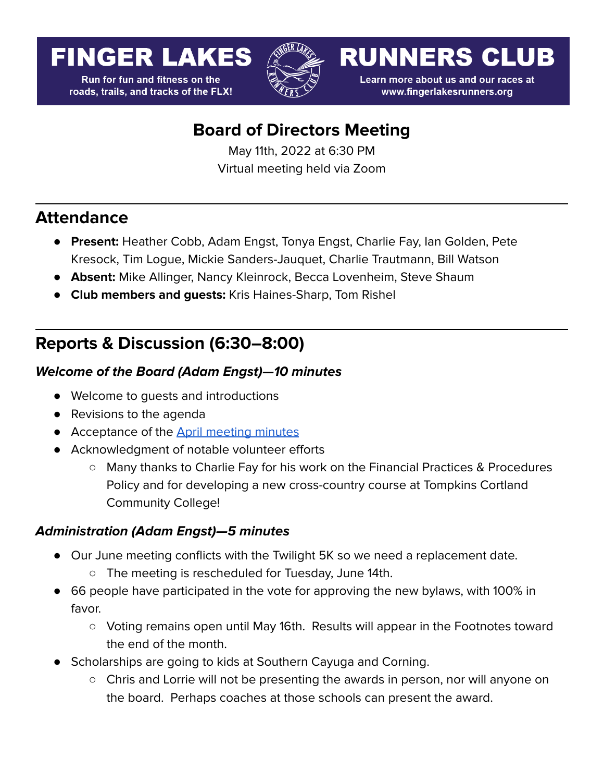# **FINGER LAKES**

**Run for fun and fitness on the** roads, trails, and tracks of the FLX!



**RUNNERS CLUB** 

Learn more about us and our races at www.fingerlakesrunners.org

# **Board of Directors Meeting**

May 11th, 2022 at 6:30 PM Virtual meeting held via Zoom

### **Attendance**

- **Present:** Heather Cobb, Adam Engst, Tonya Engst, Charlie Fay, Ian Golden, Pete Kresock, Tim Logue, Mickie Sanders-Jauquet, Charlie Trautmann, Bill Watson
- **Absent:** Mike Allinger, Nancy Kleinrock, Becca Lovenheim, Steve Shaum
- **Club members and guests:** Kris Haines-Sharp, Tom Rishel

## **Reports & Discussion (6:30–8:00)**

#### **Welcome of the Board (Adam Engst)—10 minutes**

- Welcome to guests and introductions
- Revisions to the agenda
- Acceptance of the **April [meeting](https://docs.google.com/document/d/12fakKLke9dqxKJi88AV01Z1_Dfmqg5grUSlWg8kN52A/edit?usp=sharing) minutes**
- Acknowledgment of notable volunteer efforts
	- Many thanks to Charlie Fay for his work on the Financial Practices & Procedures Policy and for developing a new cross-country course at Tompkins Cortland Community College!

#### **Administration (Adam Engst)—5 minutes**

- Our June meeting conflicts with the Twilight 5K so we need a replacement date.
	- The meeting is rescheduled for Tuesday, June 14th.
- 66 people have participated in the vote for approving the new bylaws, with 100% in favor.
	- Voting remains open until May 16th. Results will appear in the Footnotes toward the end of the month.
- Scholarships are going to kids at Southern Cayuga and Corning.
	- Chris and Lorrie will not be presenting the awards in person, nor will anyone on the board. Perhaps coaches at those schools can present the award.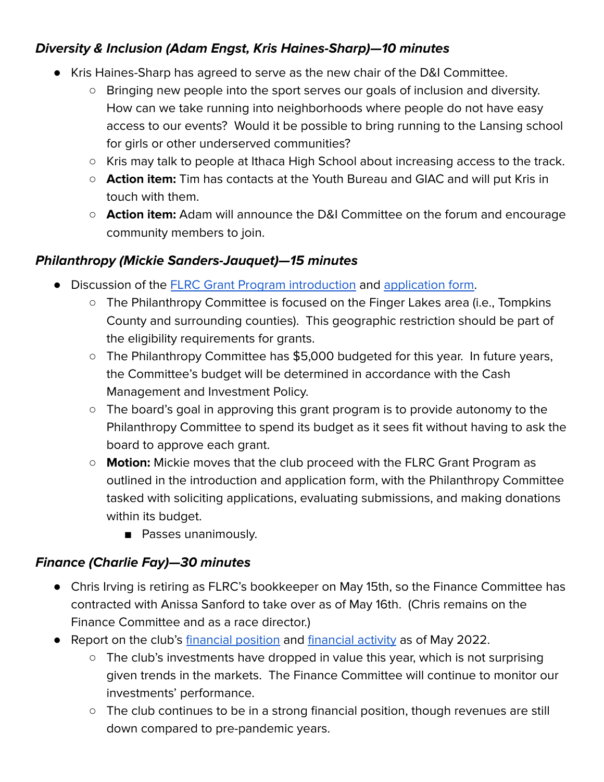#### **Diversity & Inclusion (Adam Engst, Kris Haines-Sharp)—10 minutes**

- Kris Haines-Sharp has agreed to serve as the new chair of the D&I Committee.
	- Bringing new people into the sport serves our goals of inclusion and diversity. How can we take running into neighborhoods where people do not have easy access to our events? Would it be possible to bring running to the Lansing school for girls or other underserved communities?
	- Kris may talk to people at Ithaca High School about increasing access to the track.
	- **Action item:** Tim has contacts at the Youth Bureau and GIAC and will put Kris in touch with them.
	- **Action item:** Adam will announce the D&I Committee on the forum and encourage community members to join.

#### **Philanthropy (Mickie Sanders-Jauquet)—15 minutes**

- Discussion of the FLRC Grant Program [introduction](https://docs.google.com/document/d/1WFxZx32gSMs9yBj76Xoluw04fphntOu4VrzgQIjcoD4/edit?usp=sharing) and [application](https://forms.gle/T41YmHf5EYcQhBfTA) form.
	- The Philanthropy Committee is focused on the Finger Lakes area (i.e., Tompkins County and surrounding counties). This geographic restriction should be part of the eligibility requirements for grants.
	- The Philanthropy Committee has \$5,000 budgeted for this year. In future years, the Committee's budget will be determined in accordance with the Cash Management and Investment Policy.
	- The board's goal in approving this grant program is to provide autonomy to the Philanthropy Committee to spend its budget as it sees fit without having to ask the board to approve each grant.
	- **Motion:** Mickie moves that the club proceed with the FLRC Grant Program as outlined in the introduction and application form, with the Philanthropy Committee tasked with soliciting applications, evaluating submissions, and making donations within its budget.
		- Passes unanimously.

#### **Finance (Charlie Fay)—30 minutes**

- Chris Irving is retiring as FLRC's bookkeeper on May 15th, so the Finance Committee has contracted with Anissa Sanford to take over as of May 16th. (Chris remains on the Finance Committee and as a race director.)
- Report on the club's [financial](https://docs.google.com/spreadsheets/d/1jGluPkPVXsUyJ9Hawy0VqX439d8vNc--vCnTBQ7MMK0/edit#gid=1313251547&range=A1:I1) position and financial activity as of May 2022.
	- The club's investments have dropped in value this year, which is not surprising given trends in the markets. The Finance Committee will continue to monitor our investments' performance.
	- The club continues to be in a strong financial position, though revenues are still down compared to pre-pandemic years.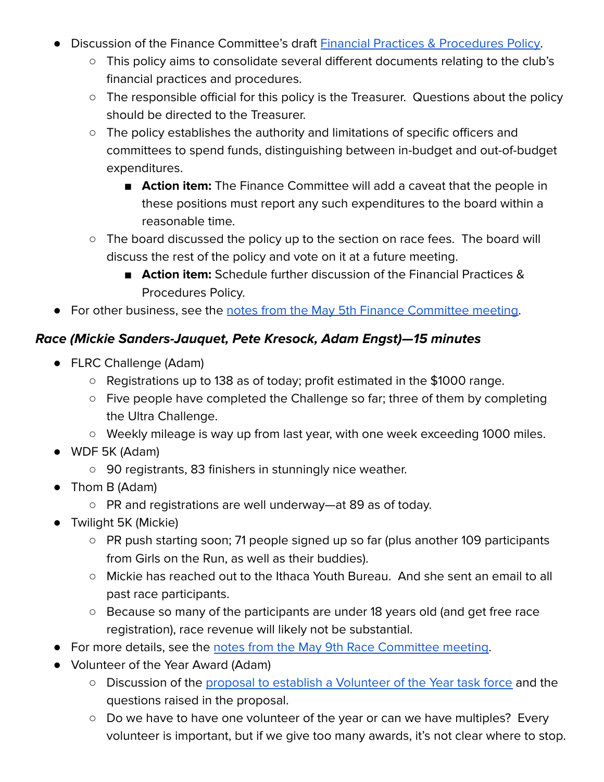- Discussion of the Finance Committee's draft **Financial Practices & [Procedures](https://docs.google.com/document/d/1utCFlomN1nnc2qUHpc2xewmN1fgdFTrLsb1rhx1HWrY/edit?usp=sharing) Policy**.
	- This policy aims to consolidate several different documents relating to the club's financial practices and procedures.
	- The responsible official for this policy is the Treasurer. Questions about the policy should be directed to the Treasurer.
	- The policy establishes the authority and limitations of specific officers and committees to spend funds, distinguishing between in-budget and out-of-budget expenditures.
		- **Action item:** The Finance Committee will add a caveat that the people in these positions must report any such expenditures to the board within a reasonable time.
	- The board discussed the policy up to the section on race fees. The board will discuss the rest of the policy and vote on it at a future meeting.
		- **Action item:** Schedule further discussion of the Financial Practices & Procedures Policy.
- For other business, see the notes from the May 5th Finance [Committee](https://forum.fingerlakesrunners.org/t/finance-comm-agenda-for-may-5-at-4-00pm/3274/10?u=adamengst) meeting.

#### **Race (Mickie Sanders-Jauquet, Pete Kresock, Adam Engst)—15 minutes**

- FLRC Challenge (Adam)
	- Registrations up to 138 as of today; profit estimated in the \$1000 range.
	- Five people have completed the Challenge so far; three of them by completing the Ultra Challenge.
	- Weekly mileage is way up from last year, with one week exceeding 1000 miles.
- WDF 5K (Adam)
	- 90 registrants, 83 finishers in stunningly nice weather.
- Thom B (Adam)
	- PR and registrations are well underway—at 89 as of today.
- Twilight 5K (Mickie)
	- PR push starting soon; 71 people signed up so far (plus another 109 participants from Girls on the Run, as well as their buddies).
	- Mickie has reached out to the Ithaca Youth Bureau. And she sent an email to all past race participants.
	- Because so many of the participants are under 18 years old (and get free race registration), race revenue will likely not be substantial.
- For more details, see the notes from the May 9th Race [Committee](https://forum.fingerlakesrunners.org/t/may-2022-race-committee-meeting-on-monday-5-9-at-5-pm/3270/9?u=adamengst) meeting.
- Volunteer of the Year Award (Adam)
	- o Discussion of the proposal to establish a [Volunteer](https://forum.fingerlakesrunners.org/t/thoughts-about-the-volunteer-of-the-year-award/3071?u=adamengst) of the Year task force and the questions raised in the proposal.
	- Do we have to have one volunteer of the year or can we have multiples? Every volunteer is important, but if we give too many awards, it's not clear where to stop.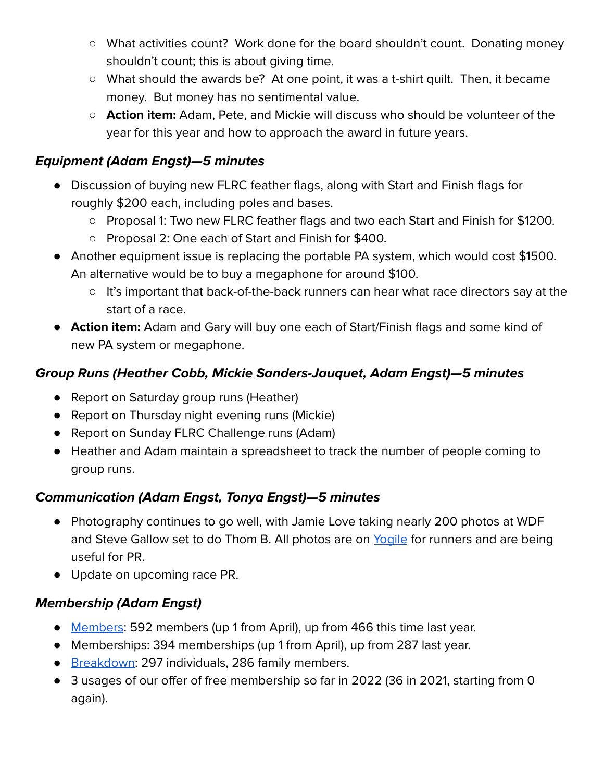- What activities count? Work done for the board shouldn't count. Donating money shouldn't count; this is about giving time.
- What should the awards be? At one point, it was a t-shirt quilt. Then, it became money. But money has no sentimental value.
- **Action item:** Adam, Pete, and Mickie will discuss who should be volunteer of the year for this year and how to approach the award in future years.

#### **Equipment (Adam Engst)—5 minutes**

- Discussion of buying new FLRC feather flags, along with Start and Finish flags for roughly \$200 each, including poles and bases.
	- Proposal 1: Two new FLRC feather flags and two each Start and Finish for \$1200.
	- Proposal 2: One each of Start and Finish for \$400.
- Another equipment issue is replacing the portable PA system, which would cost \$1500. An alternative would be to buy a megaphone for around \$100.
	- It's important that back-of-the-back runners can hear what race directors say at the start of a race.
- **Action item:** Adam and Gary will buy one each of Start/Finish flags and some kind of new PA system or megaphone.

#### **Group Runs (Heather Cobb, Mickie Sanders-Jauquet, Adam Engst)—5 minutes**

- Report on Saturday group runs (Heather)
- Report on Thursday night evening runs (Mickie)
- Report on Sunday FLRC Challenge runs (Adam)
- Heather and Adam maintain a spreadsheet to track the number of people coming to group runs.

#### **Communication (Adam Engst, Tonya Engst)—5 minutes**

- Photography continues to go well, with Jamie Love taking nearly 200 photos at WDF and Steve Gallow set to do Thom B. All photos are on [Yogile](https://www.yogile.com/342528/all) for runners and are being useful for PR.
- Update on upcoming race PR.

#### **Membership (Adam Engst)**

- [Members](https://runsignup.com/Club/Dashboard/1044): 592 members (up 1 from April), up from 466 this time last year.
- Memberships: 394 memberships (up 1 from April), up from 287 last year.
- [Breakdown:](https://runsignup.com/Club/Members/Reports/1044) 297 individuals, 286 family members.
- 3 usages of our offer of free membership so far in 2022 (36 in 2021, starting from 0 again).